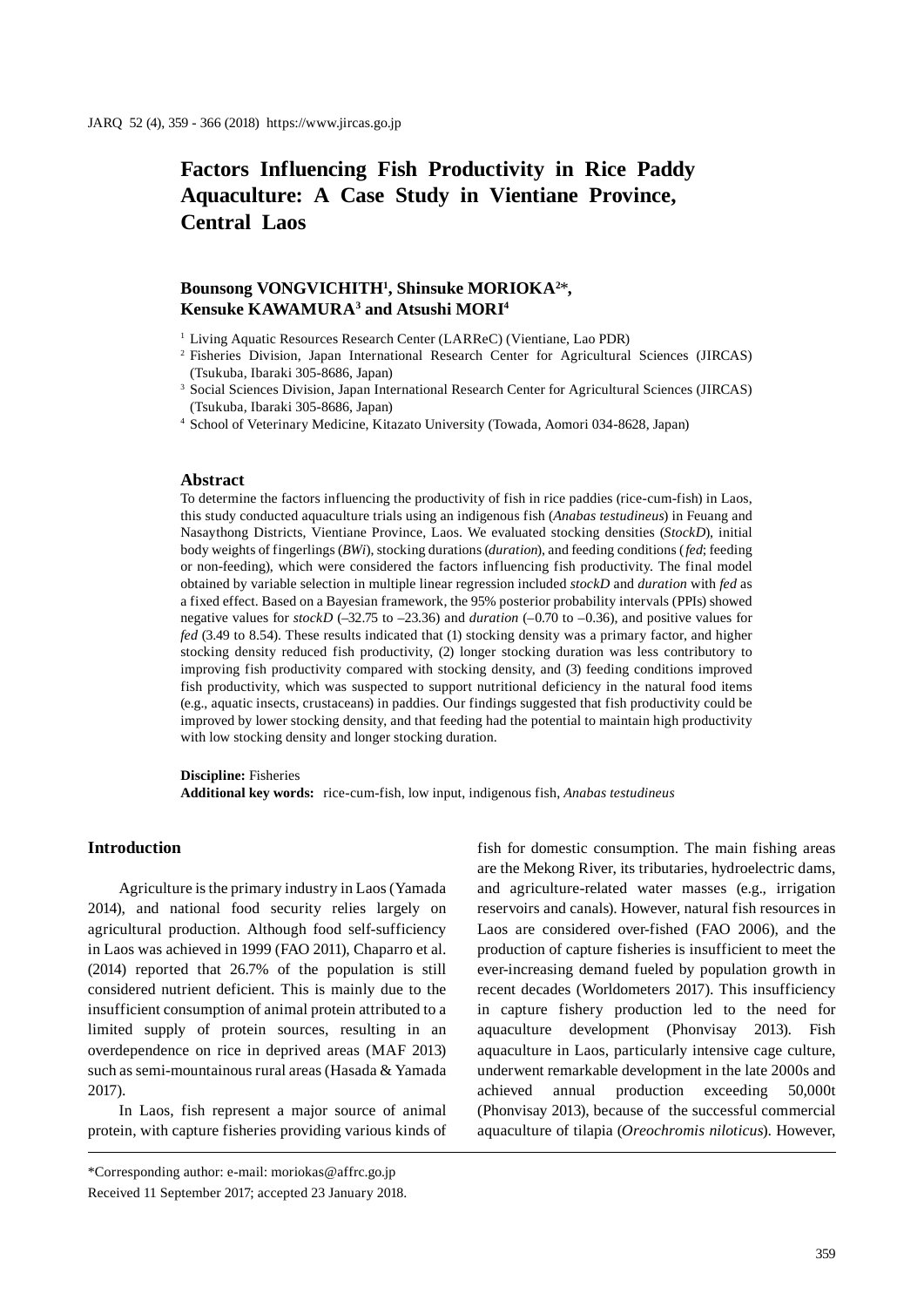# **Factors Influencing Fish Productivity in Rice Paddy Aquaculture: A Case Study in Vientiane Province, Central Laos**

# **Bounsong VONGVICHITH1 , Shinsuke MORIOKA2** \***, Kensuke KAWAMURA3 and Atsushi MORI4**

<sup>1</sup> Living Aquatic Resources Research Center (LARReC) (Vientiane, Lao PDR)

- 2 Fisheries Division, Japan International Research Center for Agricultural Sciences (JIRCAS) (Tsukuba, Ibaraki 305-8686, Japan)
- <sup>3</sup> Social Sciences Division, Japan International Research Center for Agricultural Sciences (JIRCAS) (Tsukuba, Ibaraki 305-8686, Japan)

4 School of Veterinary Medicine, Kitazato University (Towada, Aomori 034-8628, Japan)

#### **Abstract**

To determine the factors influencing the productivity of fish in rice paddies (rice-cum-fish) in Laos, this study conducted aquaculture trials using an indigenous fish (*Anabas testudineus*) in Feuang and Nasaythong Districts, Vientiane Province, Laos. We evaluated stocking densities (*StockD*), initial body weights of fingerlings (*BWi*), stocking durations (*duration*), and feeding conditions (*fed*; feeding or non-feeding), which were considered the factors influencing fish productivity. The final model obtained by variable selection in multiple linear regression included *stockD* and *duration* with *fed* as a fixed effect. Based on a Bayesian framework, the 95% posterior probability intervals (PPIs) showed negative values for *stockD* (–32.75 to –23.36) and *duration* (–0.70 to –0.36), and positive values for *fed* (3.49 to 8.54). These results indicated that (1) stocking density was a primary factor, and higher stocking density reduced fish productivity, (2) longer stocking duration was less contributory to improving fish productivity compared with stocking density, and (3) feeding conditions improved fish productivity, which was suspected to support nutritional deficiency in the natural food items (e.g., aquatic insects, crustaceans) in paddies. Our findings suggested that fish productivity could be improved by lower stocking density, and that feeding had the potential to maintain high productivity with low stocking density and longer stocking duration.

# **Discipline:** Fisheries

**Additional key words:** rice-cum-fish, low input, indigenous fish, *Anabas testudineus*

# **Introduction**

Agriculture is the primary industry in Laos (Yamada 2014), and national food security relies largely on agricultural production. Although food self-sufficiency in Laos was achieved in 1999 (FAO 2011), Chaparro et al. (2014) reported that 26.7% of the population is still considered nutrient deficient. This is mainly due to the insufficient consumption of animal protein attributed to a limited supply of protein sources, resulting in an overdependence on rice in deprived areas (MAF 2013) such as semi-mountainous rural areas (Hasada & Yamada 2017).

In Laos, fish represent a major source of animal protein, with capture fisheries providing various kinds of fish for domestic consumption. The main fishing areas are the Mekong River, its tributaries, hydroelectric dams, and agriculture-related water masses (e.g., irrigation reservoirs and canals). However, natural fish resources in Laos are considered over-fished (FAO 2006), and the production of capture fisheries is insufficient to meet the ever-increasing demand fueled by population growth in recent decades (Worldometers 2017). This insufficiency in capture fishery production led to the need for aquaculture development (Phonvisay 2013). Fish aquaculture in Laos, particularly intensive cage culture, underwent remarkable development in the late 2000s and achieved annual production exceeding 50,000t (Phonvisay 2013), because of the successful commercial aquaculture of tilapia (*Oreochromis niloticus*). However,

<sup>\*</sup>Corresponding author: e-mail: moriokas@affrc.go.jp Received 11 September 2017; accepted 23 January 2018.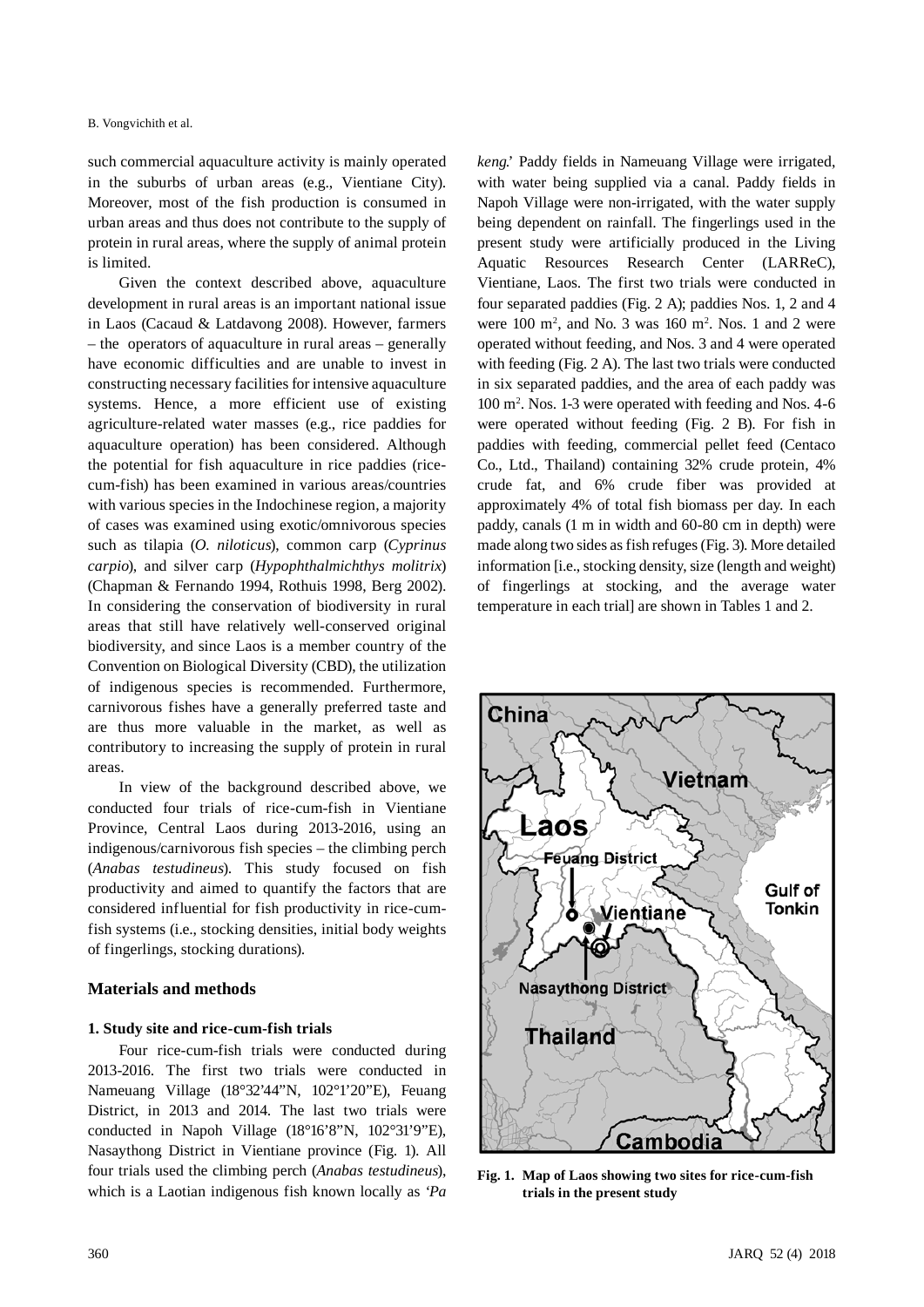such commercial aquaculture activity is mainly operated in the suburbs of urban areas (e.g., Vientiane City). Moreover, most of the fish production is consumed in urban areas and thus does not contribute to the supply of protein in rural areas, where the supply of animal protein is limited.

Given the context described above, aquaculture development in rural areas is an important national issue in Laos (Cacaud & Latdavong 2008). However, farmers – the operators of aquaculture in rural areas – generally have economic difficulties and are unable to invest in constructing necessary facilities for intensive aquaculture systems. Hence, a more efficient use of existing agriculture-related water masses (e.g., rice paddies for aquaculture operation) has been considered. Although the potential for fish aquaculture in rice paddies (ricecum-fish) has been examined in various areas/countries with various species in the Indochinese region, a majority of cases was examined using exotic/omnivorous species such as tilapia (*O. niloticus*), common carp (*Cyprinus carpio*), and silver carp (*Hypophthalmichthys molitrix*) (Chapman & Fernando 1994, Rothuis 1998, Berg 2002). In considering the conservation of biodiversity in rural areas that still have relatively well-conserved original biodiversity, and since Laos is a member country of the Convention on Biological Diversity (CBD), the utilization of indigenous species is recommended. Furthermore, carnivorous fishes have a generally preferred taste and are thus more valuable in the market, as well as contributory to increasing the supply of protein in rural areas.

In view of the background described above, we conducted four trials of rice-cum-fish in Vientiane Province, Central Laos during 2013-2016, using an indigenous/carnivorous fish species – the climbing perch (*Anabas testudineus*). This study focused on fish productivity and aimed to quantify the factors that are considered influential for fish productivity in rice-cumfish systems (i.e., stocking densities, initial body weights of fingerlings, stocking durations).

# **Materials and methods**

# **1. Study site and rice-cum-fish trials**

Four rice-cum-fish trials were conducted during 2013-2016. The first two trials were conducted in Nameuang Village (18°32'44"N, 102°1'20"E), Feuang District, in 2013 and 2014. The last two trials were conducted in Napoh Village (18°16'8"N, 102°31'9"E), Nasaythong District in Vientiane province (Fig. 1). All four trials used the climbing perch (*Anabas testudineus*), which is a Laotian indigenous fish known locally as '*Pa* 

*keng*.' Paddy fields in Nameuang Village were irrigated, with water being supplied via a canal. Paddy fields in Napoh Village were non-irrigated, with the water supply being dependent on rainfall. The fingerlings used in the present study were artificially produced in the Living Aquatic Resources Research Center (LARReC), Vientiane, Laos. The first two trials were conducted in four separated paddies (Fig. 2 A); paddies Nos. 1, 2 and 4 were  $100 \text{ m}^2$ , and No. 3 was  $160 \text{ m}^2$ . Nos. 1 and 2 were operated without feeding, and Nos. 3 and 4 were operated with feeding (Fig. 2 A). The last two trials were conducted in six separated paddies, and the area of each paddy was 100 m2 . Nos. 1-3 were operated with feeding and Nos. 4-6 were operated without feeding (Fig. 2 B). For fish in paddies with feeding, commercial pellet feed (Centaco Co., Ltd., Thailand) containing 32% crude protein, 4% crude fat, and 6% crude fiber was provided at approximately 4% of total fish biomass per day. In each paddy, canals (1 m in width and 60-80 cm in depth) were made along two sides as fish refuges (Fig. 3). More detailed information [i.e., stocking density, size (length and weight) of fingerlings at stocking, and the average water temperature in each trial] are shown in Tables 1 and 2.



**Fig. 1. Map of Laos showing two sites for rice-cum-fish trials in the present study**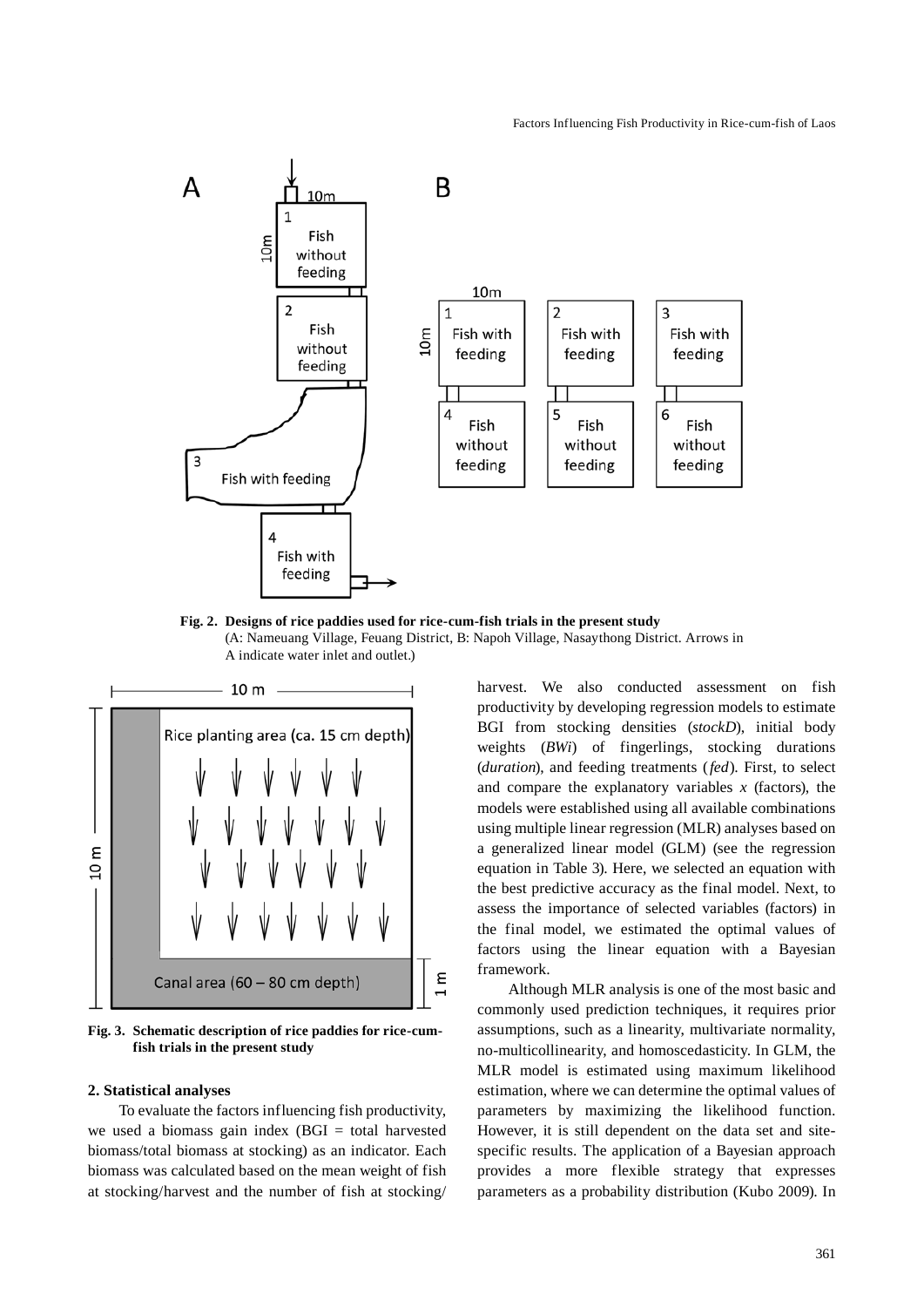

**Fig. 2. Designs of rice paddies used for rice-cum-fish trials in the present study** (A: Nameuang Village, Feuang District, B: Napoh Village, Nasaythong District. Arrows in A indicate water inlet and outlet.)



**Fig. 3. Schematic description of rice paddies for rice-cumfish trials in the present study** 

### **2. Statistical analyses**

To evaluate the factors influencing fish productivity, we used a biomass gain index  $(BGI = total$  harvested biomass/total biomass at stocking) as an indicator. Each biomass was calculated based on the mean weight of fish at stocking/harvest and the number of fish at stocking/ harvest. We also conducted assessment on fish productivity by developing regression models to estimate BGI from stocking densities (*stockD*), initial body weights (*BWi*) of fingerlings, stocking durations (*duration*), and feeding treatments (*fed*). First, to select and compare the explanatory variables *x* (factors), the models were established using all available combinations using multiple linear regression (MLR) analyses based on a generalized linear model (GLM) (see the regression equation in Table 3). Here, we selected an equation with the best predictive accuracy as the final model. Next, to assess the importance of selected variables (factors) in the final model, we estimated the optimal values of factors using the linear equation with a Bayesian framework.

Although MLR analysis is one of the most basic and commonly used prediction techniques, it requires prior assumptions, such as a linearity, multivariate normality, no-multicollinearity, and homoscedasticity. In GLM, the MLR model is estimated using maximum likelihood estimation, where we can determine the optimal values of parameters by maximizing the likelihood function. However, it is still dependent on the data set and sitespecific results. The application of a Bayesian approach provides a more flexible strategy that expresses parameters as a probability distribution (Kubo 2009). In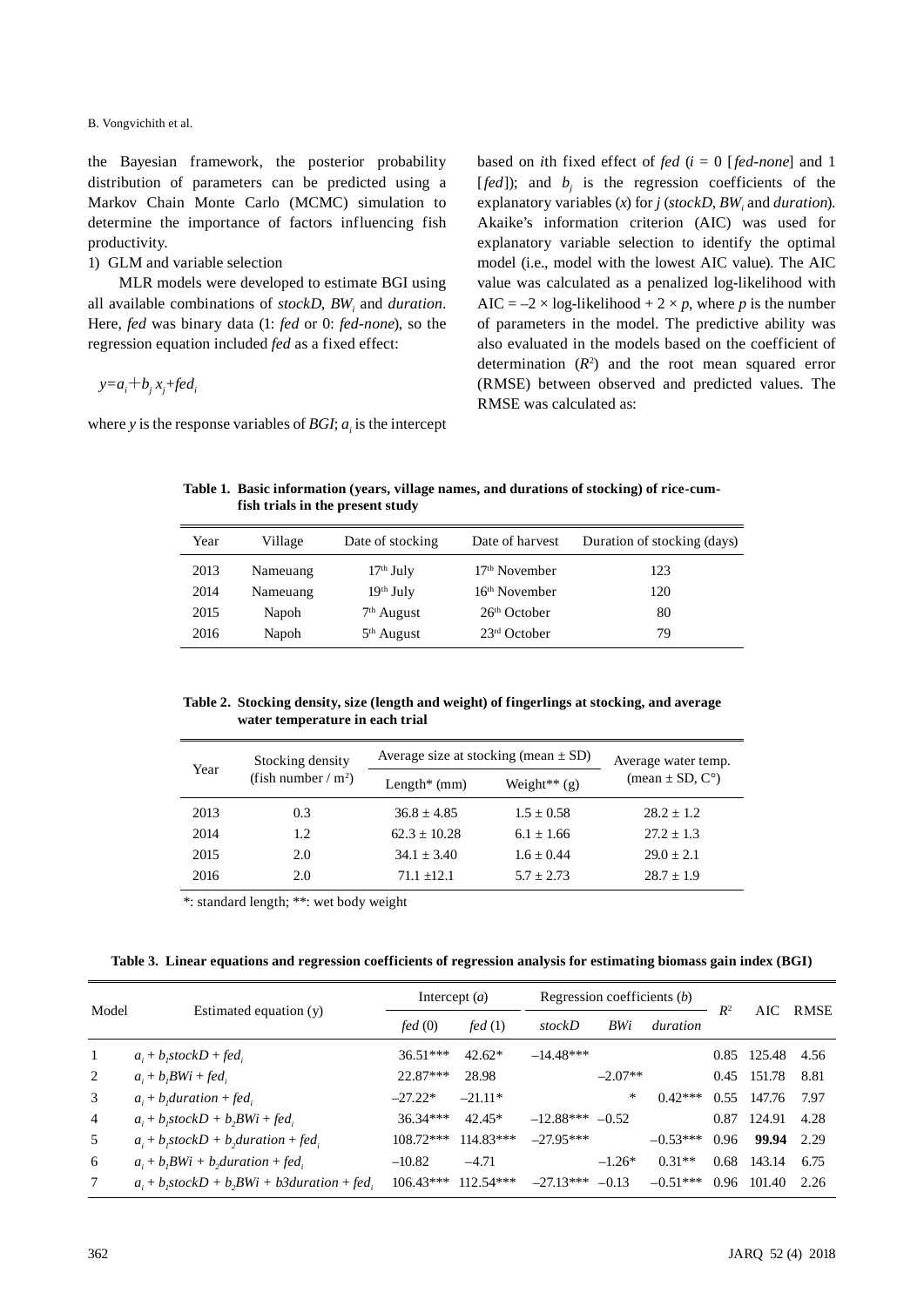the Bayesian framework, the posterior probability distribution of parameters can be predicted using a Markov Chain Monte Carlo (MCMC) simulation to determine the importance of factors influencing fish productivity.

# 1) GLM and variable selection

MLR models were developed to estimate BGI using all available combinations of *stockD*, BW<sub>i</sub> and *duration*. Here, *fed* was binary data (1: *fed* or 0: *fed-none*), so the regression equation included *fed* as a fixed effect:

 $y=a_i+b_jx_j+fed_i$ 

where *y* is the response variables of *BGI*;  $a_i$  is the intercept

based on *i*th fixed effect of *fed* (*i* = 0 [*fed-none*] and 1 [*fed*]); and  $b_j$  is the regression coefficients of the explanatory variables  $(x)$  for  $j$  ( $stockD$ ,  $BW<sub>i</sub>$  and *duration*). Akaike's information criterion (AIC) was used for explanatory variable selection to identify the optimal model (i.e., model with the lowest AIC value). The AIC value was calculated as a penalized log-likelihood with AIC =  $-2 \times \log$ -likelihood + 2  $\times p$ , where p is the number of parameters in the model. The predictive ability was also evaluated in the models based on the coefficient of determination  $(R^2)$  and the root mean squared error (RMSE) between observed and predicted values. The RMSE was calculated as:

**Table 1. Basic information (years, village names, and durations of stocking) of rice-cumfish trials in the present study**

| Year | Village  | Date of stocking | Date of harvest          | Duration of stocking (days) |
|------|----------|------------------|--------------------------|-----------------------------|
| 2013 | Nameuang | $17th$ July      | $17th$ November          | 123                         |
| 2014 | Nameuang | $19th$ July      | $16th$ November          | 120                         |
| 2015 | Napoh    | $7th$ August     | 26 <sup>th</sup> October | 80                          |
| 2016 | Napoh    | $5th$ August     | $23rd$ October           | 79                          |

**Table 2. Stocking density, size (length and weight) of fingerlings at stocking, and average water temperature in each trial**

| Year | Stocking density       | Average size at stocking (mean $\pm$ SD) | Average water temp. |                     |
|------|------------------------|------------------------------------------|---------------------|---------------------|
|      | (fish number / $m^2$ ) | Length $*$ (mm)                          | Weight** $(g)$      | (mean $\pm$ SD, C°) |
| 2013 | 0.3                    | $36.8 + 4.85$                            | $1.5 + 0.58$        | $28.2 \pm 1.2$      |
| 2014 | 1.2                    | $62.3 + 10.28$                           | $6.1 + 1.66$        | $27.2 + 1.3$        |
| 2015 | 2.0                    | $34.1 + 3.40$                            | $1.6 + 0.44$        | $29.0 + 2.1$        |
| 2016 | 2.0                    | $71.1 + 12.1$                            | $5.7 + 2.73$        | $28.7 \pm 1.9$      |

\*: standard length; \*\*: wet body weight

**Table 3. Linear equations and regression coefficients of regression analysis for estimating biomass gain index (BGI)**

| Model          |                                                      | Intercept $(a)$ |             | Regression coefficients (b) |           |            |       |             |      |
|----------------|------------------------------------------------------|-----------------|-------------|-----------------------------|-----------|------------|-------|-------------|------|
|                | Estimated equation (y)                               | fed(0)          | fed(1)      | stockD                      | BWi       | duration   | $R^2$ | AIC -       | RMSE |
| -1             | $a_i + b_i stockD + fed_i$                           | $36.51***$      | $42.62*$    | $-14.48***$                 |           |            |       | 0.85 125.48 | 4.56 |
| 2              | $a_i + b_iBW_i + fed_i$                              | $22.87***$      | 28.98       |                             | $-2.07**$ |            |       | 0.45 151.78 | 8.81 |
| 3              | $a_i + b_i$ duration + fed.                          | $-27.22*$       | $-21.11*$   |                             | *         | $0.42***$  | 0.55  | 147.76      | 7.97 |
| $\overline{4}$ | $a_i + b_i$ stock $D + b_iBW_i + fed_i$              | $36.34***$      | $42.45*$    | $-12.88***$                 | $-0.52$   |            | 0.87  | 124.91      | 4.28 |
| 5              | $a_i + b_i$ stock $D + b_i$ duration + fed           | $108.72***$     | $114.83***$ | $-27.95***$                 |           | $-0.53***$ | 0.96  | 99.94       | 2.29 |
| 6              | $a_i + b_jBW_i + b_jduration + fed_i$                | $-10.82$        | $-4.71$     |                             | $-1.26*$  | $0.31**$   | 0.68  | 143.14      | 6.75 |
| 7              | $a_i + b_i$ stock $D + b_iBW_i + b3duration + fed_i$ | $106.43***$     | $112.54***$ | $-27.13***$                 | $-0.13$   | $-0.51***$ | 0.96  | 101.40      | 2.26 |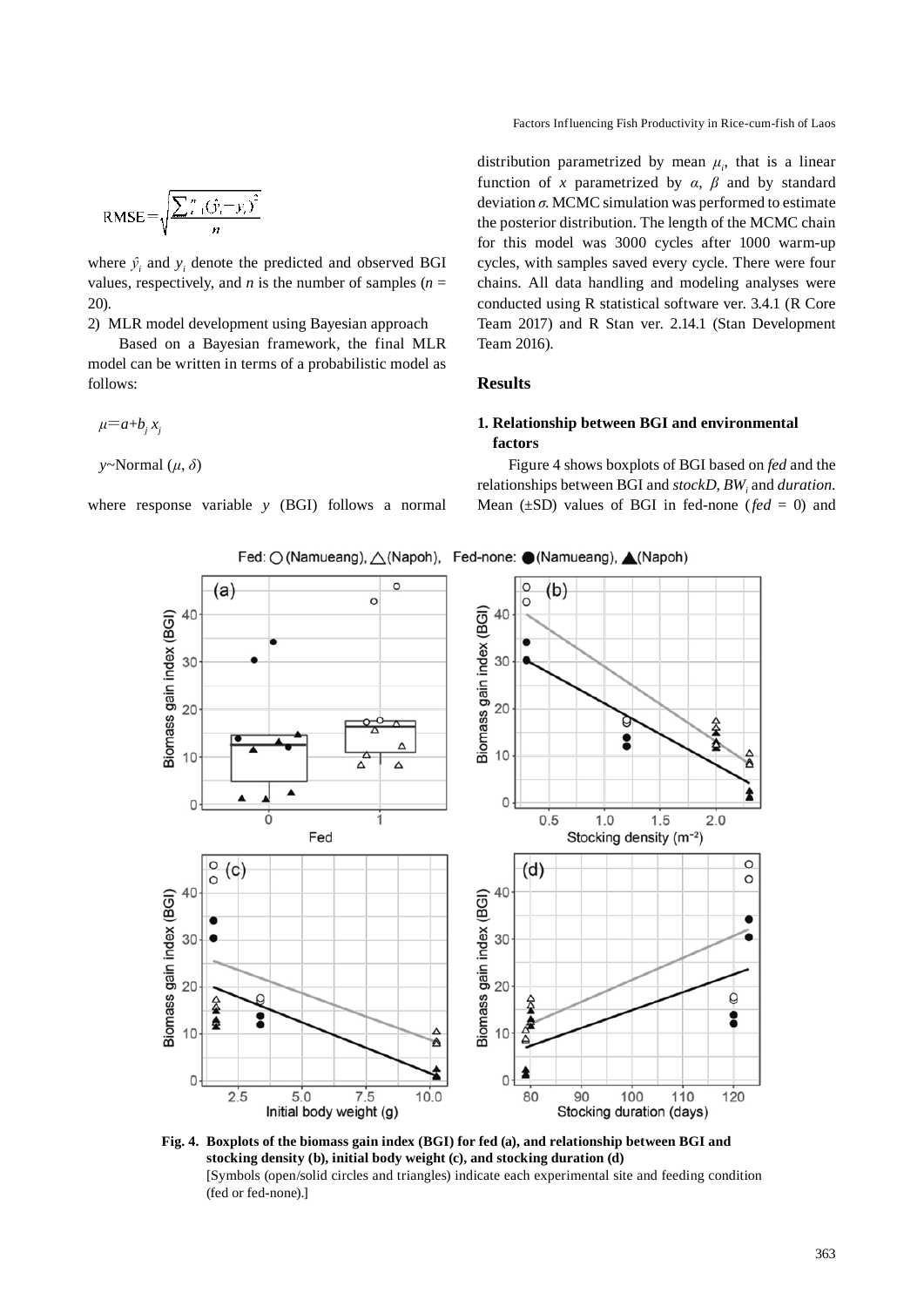Factors Influencing Fish Productivity in Rice-cum-fish of Laos

$$
RMSE = \sqrt{\frac{\sum_{i=1}^{n} (\hat{y}_i - y_i)^2}{n}}
$$

where  $\hat{y}_i$  and  $y_i$  denote the predicted and observed BGI values, respectively, and *n* is the number of samples  $(n =$ 20).

2) MLR model development using Bayesian approach

Based on a Bayesian framework, the final MLR model can be written in terms of a probabilistic model as follows:

 $\mu=a+b_jx_j$ 

*y*~Normal (*μ*, *δ*)

where response variable *y* (BGI) follows a normal

distribution parametrized by mean  $\mu_i$ , that is a linear function of *x* parametrized by  $\alpha$ ,  $\beta$  and by standard deviation *σ*. MCMC simulation was performed to estimate the posterior distribution. The length of the MCMC chain for this model was 3000 cycles after 1000 warm-up cycles, with samples saved every cycle. There were four chains. All data handling and modeling analyses were conducted using R statistical software ver. 3.4.1 (R Core Team 2017) and R Stan ver. 2.14.1 (Stan Development Team 2016).

# **Results**

# **1. Relationship between BGI and environmental factors**

Figure 4 shows boxplots of BGI based on *fed* and the relationships between BGI and *stockD*,  $BW_i$  and *duration*. Mean  $(\pm SD)$  values of BGI in fed-none (*fed* = 0) and



**Fig. 4. Boxplots of the biomass gain index (BGI) for fed (a), and relationship between BGI and stocking density (b), initial body weight (c), and stocking duration (d)**  [Symbols (open/solid circles and triangles) indicate each experimental site and feeding condition (fed or fed-none).]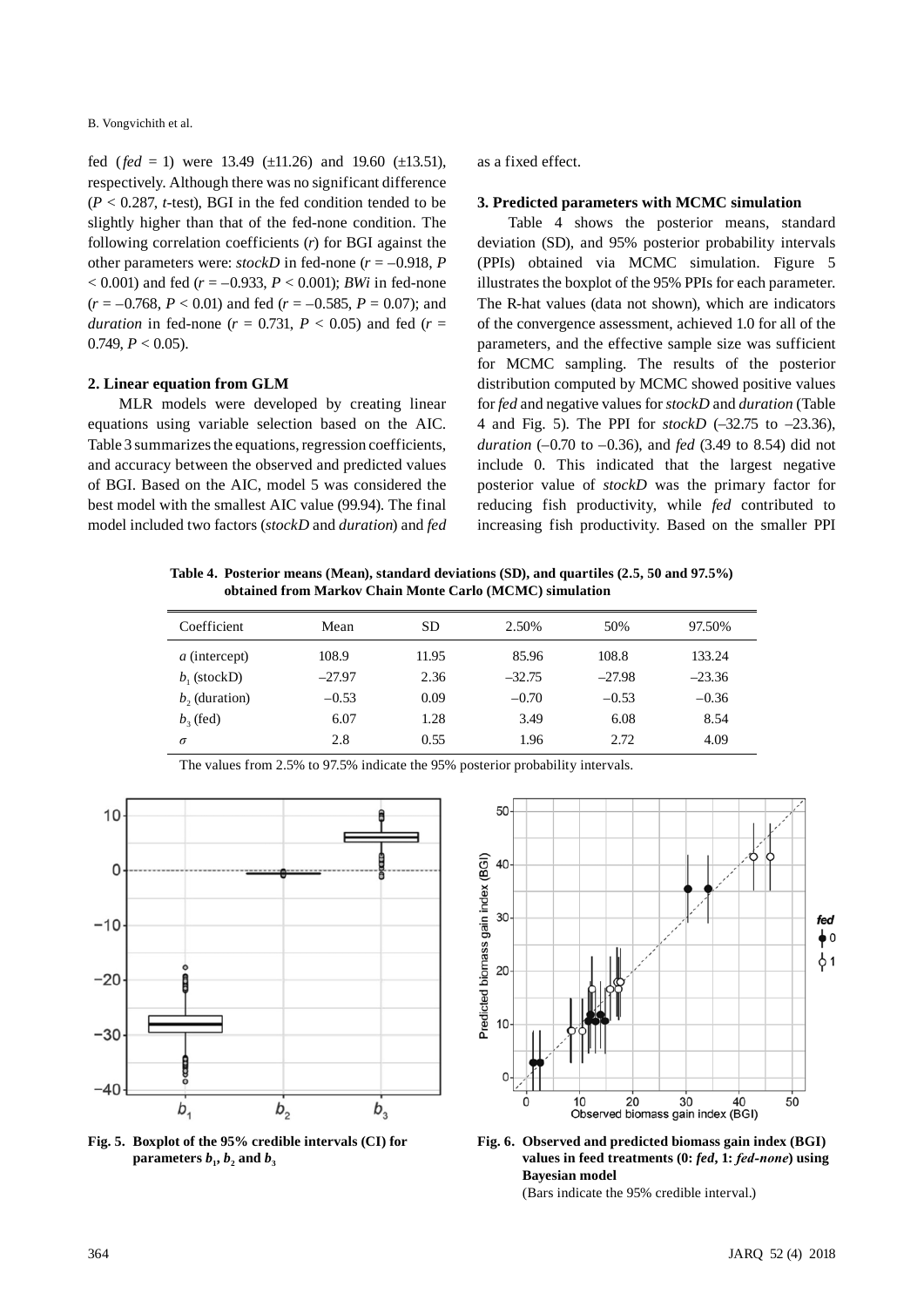fed ( $fed = 1$ ) were 13.49 ( $±11.26$ ) and 19.60 ( $±13.51$ ), respectively. Although there was no significant difference  $(P < 0.287$ , *t*-test), BGI in the fed condition tended to be slightly higher than that of the fed-none condition. The following correlation coefficients (*r*) for BGI against the other parameters were:  $stockD$  in fed-none ( $r = -0.918$ , *P*  $(6.001)$  and fed ( $r = -0.933$ ,  $P < 0.001$ ); *BWi* in fed-none  $(r = -0.768, P < 0.01)$  and fed  $(r = -0.585, P = 0.07)$ ; and *duration* in fed-none ( $r = 0.731$ ,  $P < 0.05$ ) and fed ( $r =$ 0.749,  $P < 0.05$ ).

### **2. Linear equation from GLM**

MLR models were developed by creating linear equations using variable selection based on the AIC. Table 3 summarizes the equations, regression coefficients, and accuracy between the observed and predicted values of BGI. Based on the AIC, model 5 was considered the best model with the smallest AIC value (99.94). The final model included two factors (*stockD* and *duration*) and *fed* as a fixed effect.

#### **3. Predicted parameters with MCMC simulation**

Table 4 shows the posterior means, standard deviation (SD), and 95% posterior probability intervals (PPIs) obtained via MCMC simulation. Figure 5 illustrates the boxplot of the 95% PPIs for each parameter. The R-hat values (data not shown), which are indicators of the convergence assessment, achieved 1.0 for all of the parameters, and the effective sample size was sufficient for MCMC sampling. The results of the posterior distribution computed by MCMC showed positive values for *fed* and negative values for *stockD* and *duration* (Table 4 and Fig. 5). The PPI for *stockD* (–32.75 to –23.36), *duration* (–0.70 to –0.36), and *fed* (3.49 to 8.54) did not include 0. This indicated that the largest negative posterior value of *stockD* was the primary factor for reducing fish productivity, while *fed* contributed to increasing fish productivity. Based on the smaller PPI

**Table 4. Posterior means (Mean), standard deviations (SD), and quartiles (2.5, 50 and 97.5%) obtained from Markov Chain Monte Carlo (MCMC) simulation**

| Coefficient     | Mean     | <b>SD</b> | 2.50%    | 50%      | 97.50%   |
|-----------------|----------|-----------|----------|----------|----------|
| a (intercept)   | 108.9    | 11.95     | 85.96    | 108.8    | 133.24   |
| $b1$ (stockD)   | $-27.97$ | 2.36      | $-32.75$ | $-27.98$ | $-23.36$ |
| $b2$ (duration) | $-0.53$  | 0.09      | $-0.70$  | $-0.53$  | $-0.36$  |
| $b2$ (fed)      | 6.07     | 1.28      | 3.49     | 6.08     | 8.54     |
| $\sigma$        | 2.8      | 0.55      | 1.96     | 2.72     | 4.09     |



The values from 2.5% to 97.5% indicate the 95% posterior probability intervals.

**Fig. 5. Boxplot of the 95% credible intervals (CI) for parameters**  $b_1$ ,  $b_2$  and  $b_3$ 



**Fig. 6. Observed and predicted biomass gain index (BGI) values in feed treatments (0:** *fed***, 1:** *fed-none***) using Bayesian model**  (Bars indicate the 95% credible interval.)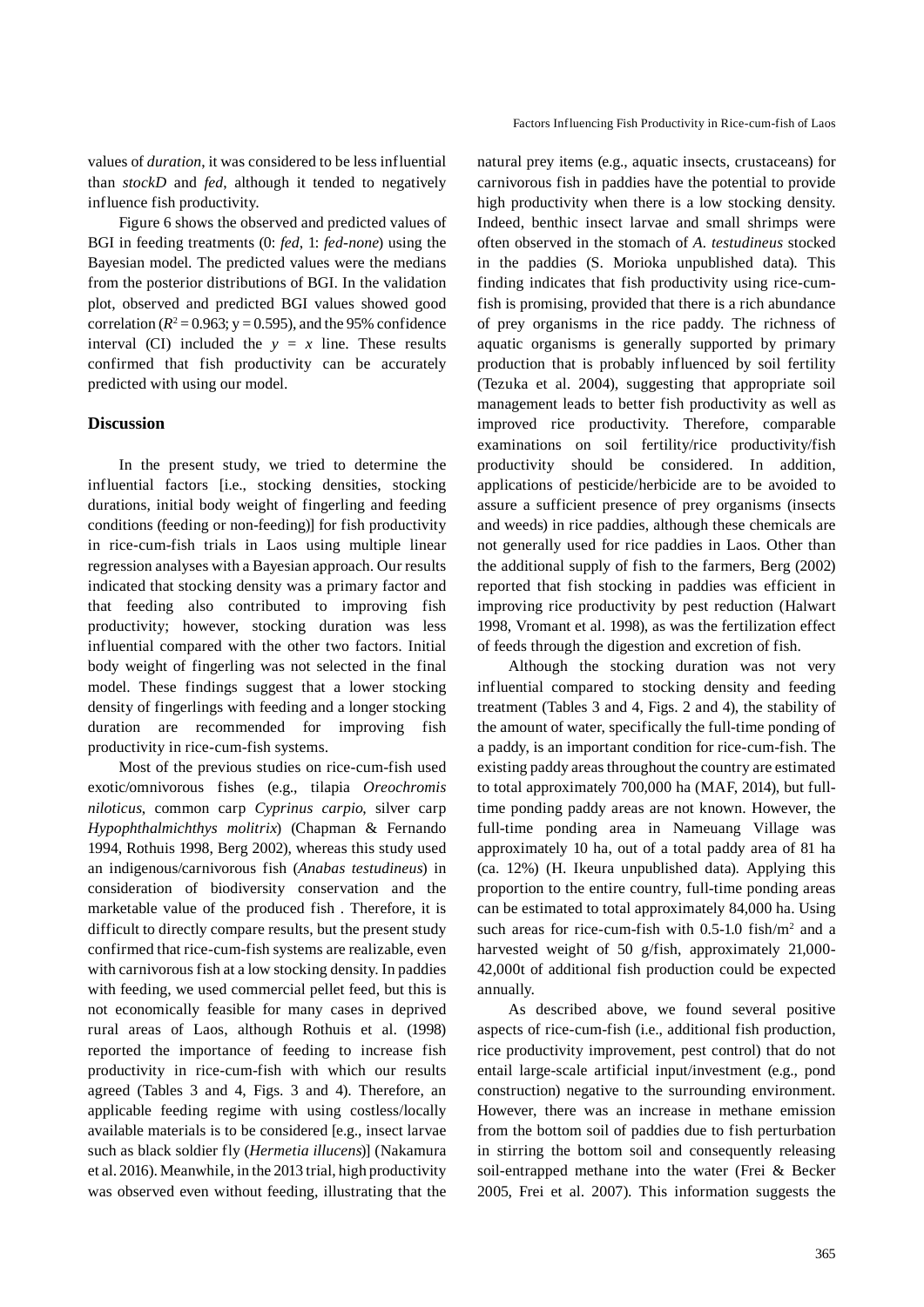Factors Influencing Fish Productivity in Rice-cum-fish of Laos

values of *duration*, it was considered to be less influential than *stockD* and *fed*, although it tended to negatively influence fish productivity.

Figure 6 shows the observed and predicted values of BGI in feeding treatments (0: *fed*, 1: *fed-none*) using the Bayesian model. The predicted values were the medians from the posterior distributions of BGI. In the validation plot, observed and predicted BGI values showed good correlation ( $R^2$  = 0.963; y = 0.595), and the 95% confidence interval (CI) included the  $y = x$  line. These results confirmed that fish productivity can be accurately predicted with using our model.

# **Discussion**

In the present study, we tried to determine the influential factors [i.e., stocking densities, stocking durations, initial body weight of fingerling and feeding conditions (feeding or non-feeding)] for fish productivity in rice-cum-fish trials in Laos using multiple linear regression analyses with a Bayesian approach. Our results indicated that stocking density was a primary factor and that feeding also contributed to improving fish productivity; however, stocking duration was less influential compared with the other two factors. Initial body weight of fingerling was not selected in the final model. These findings suggest that a lower stocking density of fingerlings with feeding and a longer stocking duration are recommended for improving fish productivity in rice-cum-fish systems.

Most of the previous studies on rice-cum-fish used exotic/omnivorous fishes (e.g., tilapia *Oreochromis niloticus*, common carp *Cyprinus carpio*, silver carp *Hypophthalmichthys molitrix*) (Chapman & Fernando 1994, Rothuis 1998, Berg 2002), whereas this study used an indigenous/carnivorous fish (*Anabas testudineus*) in consideration of biodiversity conservation and the marketable value of the produced fish . Therefore, it is difficult to directly compare results, but the present study confirmed that rice-cum-fish systems are realizable, even with carnivorous fish at a low stocking density. In paddies with feeding, we used commercial pellet feed, but this is not economically feasible for many cases in deprived rural areas of Laos, although Rothuis et al. (1998) reported the importance of feeding to increase fish productivity in rice-cum-fish with which our results agreed (Tables 3 and 4, Figs. 3 and 4). Therefore, an applicable feeding regime with using costless/locally available materials is to be considered [e.g., insect larvae such as black soldier fly (*Hermetia illucens*)] (Nakamura et al. 2016). Meanwhile, in the 2013 trial, high productivity was observed even without feeding, illustrating that the

natural prey items (e.g., aquatic insects, crustaceans) for carnivorous fish in paddies have the potential to provide high productivity when there is a low stocking density. Indeed, benthic insect larvae and small shrimps were often observed in the stomach of *A. testudineus* stocked in the paddies (S. Morioka unpublished data). This finding indicates that fish productivity using rice-cumfish is promising, provided that there is a rich abundance of prey organisms in the rice paddy. The richness of aquatic organisms is generally supported by primary production that is probably influenced by soil fertility (Tezuka et al. 2004), suggesting that appropriate soil management leads to better fish productivity as well as improved rice productivity. Therefore, comparable examinations on soil fertility/rice productivity/fish productivity should be considered. In addition, applications of pesticide/herbicide are to be avoided to assure a sufficient presence of prey organisms (insects and weeds) in rice paddies, although these chemicals are not generally used for rice paddies in Laos. Other than the additional supply of fish to the farmers, Berg (2002) reported that fish stocking in paddies was efficient in improving rice productivity by pest reduction (Halwart 1998, Vromant et al. 1998), as was the fertilization effect of feeds through the digestion and excretion of fish.

Although the stocking duration was not very influential compared to stocking density and feeding treatment (Tables 3 and 4, Figs. 2 and 4), the stability of the amount of water, specifically the full-time ponding of a paddy, is an important condition for rice-cum-fish. The existing paddy areas throughout the country are estimated to total approximately 700,000 ha (MAF, 2014), but fulltime ponding paddy areas are not known. However, the full-time ponding area in Nameuang Village was approximately 10 ha, out of a total paddy area of 81 ha (ca. 12%) (H. Ikeura unpublished data). Applying this proportion to the entire country, full-time ponding areas can be estimated to total approximately 84,000 ha. Using such areas for rice-cum-fish with  $0.5$ -1.0 fish/m<sup>2</sup> and a harvested weight of 50 g/fish, approximately 21,000-42,000t of additional fish production could be expected annually.

As described above, we found several positive aspects of rice-cum-fish (i.e., additional fish production, rice productivity improvement, pest control) that do not entail large-scale artificial input/investment (e.g., pond construction) negative to the surrounding environment. However, there was an increase in methane emission from the bottom soil of paddies due to fish perturbation in stirring the bottom soil and consequently releasing soil-entrapped methane into the water (Frei & Becker 2005, Frei et al. 2007). This information suggests the